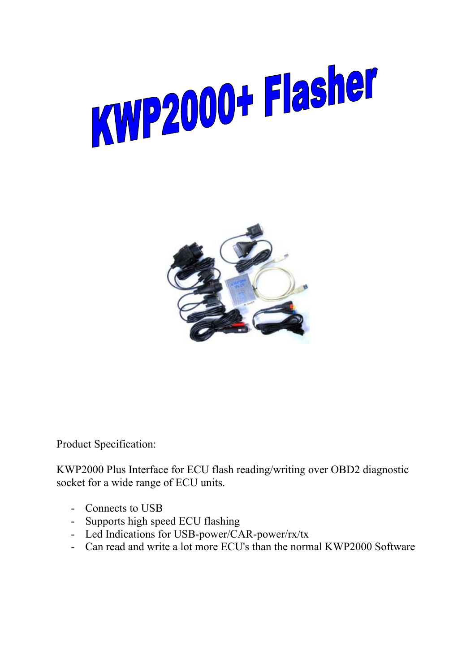



Product Specification:

KWP2000 Plus Interface for ECU flash reading/writing over OBD2 diagnostic socket for a wide range of ECU units.

- Connects to USB
- Supports high speed ECU flashing
- Led Indications for USB-power/CAR-power/rx/tx
- Can read and write a lot more ECU's than the normal KWP2000 Software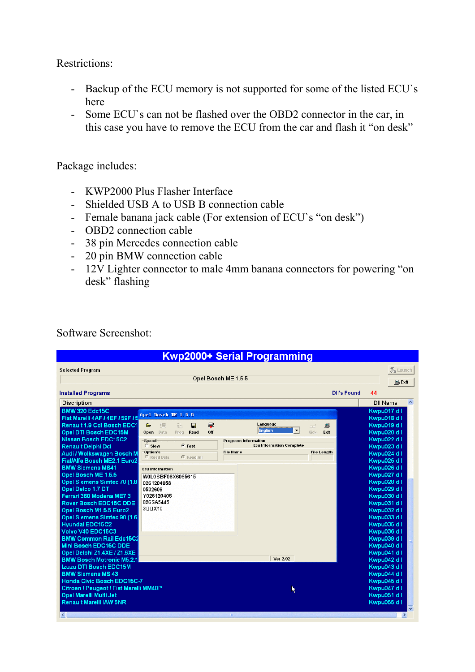Restrictions:

- Backup of the ECU memory is not supported for some of the listed ECU`s here
- Some ECU`s can not be flashed over the OBD2 connector in the car, in this case you have to remove the ECU from the car and flash it "on desk"

Package includes:

- KWP2000 Plus Flasher Interface
- Shielded USB A to USB B connection cable
- Female banana jack cable (For extension of ECU`s "on desk")
- OBD2 connection cable
- 38 pin Mercedes connection cable
- 20 pin BMW connection cable
- 12V Lighter connector to male 4mm banana connectors for powering "on desk" flashing

| Kwp2000+ Serial Programming                            |                         |                   |          |                                                                     |                            |               |                  |
|--------------------------------------------------------|-------------------------|-------------------|----------|---------------------------------------------------------------------|----------------------------|---------------|------------------|
| <b>Selected Program</b>                                |                         |                   |          |                                                                     |                            | 烈 Launch      |                  |
| Opel Bosch ME 1.5.5                                    |                         |                   |          |                                                                     |                            | <b>鳳 Exit</b> |                  |
|                                                        |                         |                   |          |                                                                     |                            |               |                  |
| <b>Installed Programs</b>                              |                         |                   |          | <b>DII's Found</b>                                                  | 44                         |               |                  |
| <b>Discription</b>                                     |                         |                   |          |                                                                     | <b>DII Name</b>            |               | $\blacktriangle$ |
| <b>BMW 320 Edc15C</b>                                  | Opel Bosch ME 1.5.5     |                   |          |                                                                     | Kwpu017.dll                |               |                  |
| Fiat Marelli 4AF / 4EF / 59F / 5                       |                         |                   |          |                                                                     | Kwpu018.dll                |               |                  |
| Renault 1.9 Cdi Bosch EDC1                             | ⋐<br>阻                  | 蟲<br>П            | ⊋<br>Off | Language<br>鳥<br>$\equiv$<br>$\blacktriangledown$<br><b>English</b> | Kwpu019.dll                |               |                  |
| Opel DTI Bosch EDC15M<br><b>Nissan Bosch EDC15C2</b>   | Data<br>Open            | Prog<br>Read      |          | Kick<br>Exit                                                        | Kwpu020.dll<br>Kwpu022.dll |               |                  |
| Renault Delphi Dci                                     | Speed<br>C Slow         | $G$ Fast          |          | <b>Progress Information</b><br><b>Ecu Information Complete</b>      | Kwpu023.dll                |               |                  |
| Audi / Wolkswagen Bosch M                              | Option's                |                   |          | <b>File Name</b><br><b>File Length</b>                              | Kwpu024.dll                |               |                  |
| Fiat/Alfa Bosch ME2.1 Euro2                            | C Read Data             | <b>C</b> Read All |          |                                                                     | Kwpu025.dll                |               |                  |
| <b>BMW Siemens MS41</b>                                | <b>Ecu Information</b>  |                   |          |                                                                     | Kwpu026.dll                |               |                  |
| Opel Bosch ME 1.5.5                                    | W0L0SBF08X6065615       |                   |          |                                                                     | Kwpu027.dll                |               |                  |
| Opel Siemens Simtec 70 (1.8)                           | 0261204058              |                   |          |                                                                     | Kwpu028.dll                |               |                  |
| Opel Delco 1.7 DTI                                     | 0532609                 |                   |          |                                                                     | Kwpu029.dll                |               |                  |
| Ferrari 360 Modena ME7.3<br>Rover Bosch EDC15C DDE     | Y026120405<br>826SA5445 |                   |          |                                                                     | Kwpu030.dll                |               |                  |
| Opel Bosch M1.5.5 Euro2                                | 300X10                  |                   |          |                                                                     | Kwpu031.dll<br>Kwpu032.dll |               |                  |
| Opel Siemens Simtec 90 (1.6)                           |                         |                   |          |                                                                     | Kwpu033.dll                |               |                  |
| <b>Hyundai EDC15C2</b>                                 |                         |                   |          |                                                                     | Kwpu035.dll                |               |                  |
| Volvo V40 EDC15C3                                      |                         |                   |          |                                                                     | Kwpu036.dll                |               |                  |
| <b>BMW Common Rail Edc15C2</b>                         |                         |                   |          |                                                                     | Kwpu039.dll                |               |                  |
| Mini Bosch EDC15C DDE                                  |                         |                   |          |                                                                     | Kwpu040.dll                |               |                  |
| Opel Delphi Z1.4XE / Z1.6XE                            |                         |                   |          |                                                                     | Kwpu041.dll                |               |                  |
| <b>BMW Bosch Motronic M5.2.1</b>                       |                         |                   |          | <b>Ver 2.02</b>                                                     | Kwpu042.dll                |               |                  |
| Izuzu DTI Bosch EDC15M                                 |                         |                   |          |                                                                     | Kwpu043.dll                |               |                  |
| <b>BMW Siemens MS 43</b><br>Honda Civic Bosch EDC15C-7 |                         |                   |          |                                                                     | Kwpu044.dll<br>Kwpu045.dll |               |                  |
| Citroen / Peugeot / Fiat Marelli MM48P                 |                         |                   |          |                                                                     | Kwpu047.dll                |               |                  |
| Opel Marelli Multi Jet                                 |                         |                   |          | ĸ                                                                   | Kwpu051.dll                |               |                  |
| Renault Marelli IAW 5NR                                |                         |                   |          |                                                                     | Kwpu055.dll                |               |                  |
|                                                        |                         |                   |          |                                                                     |                            |               | v                |
| $\vert$ < $\vert$                                      |                         |                   |          |                                                                     |                            | $\rightarrow$ |                  |

Software Screenshot: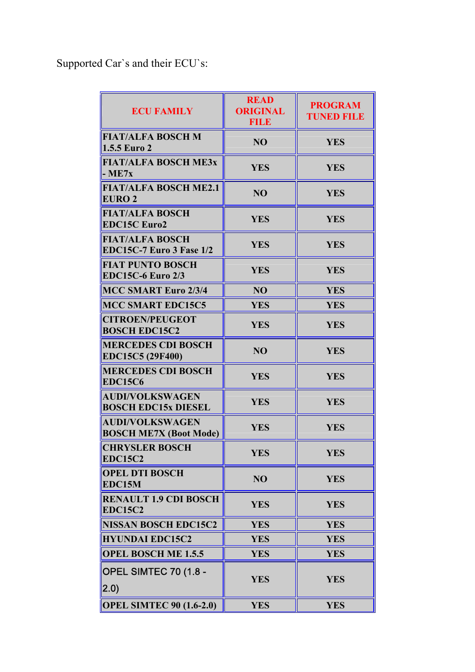Supported Car`s and their ECU`s:

| <b>ECU FAMILY</b>                                       | <b>READ</b><br><b>ORIGINAL</b><br><b>FILE</b> | <b>PROGRAM</b><br><b>TUNED FILE</b> |
|---------------------------------------------------------|-----------------------------------------------|-------------------------------------|
| <b>FIAT/ALFA BOSCH M</b><br><b>1.5.5 Euro 2</b>         | N <sub>O</sub>                                | <b>YES</b>                          |
| <b>FIAT/ALFA BOSCH ME3x</b><br>$-ME7x$                  | <b>YES</b>                                    | <b>YES</b>                          |
| <b>FIAT/ALFA BOSCH ME2.1</b><br><b>EURO 2</b>           | N <sub>O</sub>                                | <b>YES</b>                          |
| <b>FIAT/ALFA BOSCH</b><br><b>EDC15C Euro2</b>           | <b>YES</b>                                    | <b>YES</b>                          |
| <b>FIAT/ALFA BOSCH</b><br>EDC15C-7 Euro 3 Fase 1/2      | <b>YES</b>                                    | <b>YES</b>                          |
| <b>FIAT PUNTO BOSCH</b><br><b>EDC15C-6 Euro 2/3</b>     | <b>YES</b>                                    | <b>YES</b>                          |
| <b>MCC SMART Euro 2/3/4</b>                             | NO                                            | <b>YES</b>                          |
| <b>MCC SMART EDC15C5</b>                                | <b>YES</b>                                    | <b>YES</b>                          |
| <b>CITROEN/PEUGEOT</b><br><b>BOSCH EDC15C2</b>          | <b>YES</b>                                    | <b>YES</b>                          |
| <b>MERCEDES CDI BOSCH</b><br>EDC15C5 (29F400)           | N <sub>O</sub>                                | <b>YES</b>                          |
| <b>MERCEDES CDI BOSCH</b><br><b>EDC15C6</b>             | <b>YES</b>                                    | <b>YES</b>                          |
| <b>AUDI/VOLKSWAGEN</b><br><b>BOSCH EDC15x DIESEL</b>    | <b>YES</b>                                    | <b>YES</b>                          |
| <b>AUDI/VOLKSWAGEN</b><br><b>BOSCH ME7X (Boot Mode)</b> | <b>YES</b>                                    | <b>YES</b>                          |
| <b>CHRYSLER BOSCH</b><br><b>EDC15C2</b>                 | YES                                           | <b>YES</b>                          |
| <b>OPEL DTI BOSCH</b><br>EDC15M                         | NO                                            | <b>YES</b>                          |
| <b>RENAULT 1.9 CDI BOSCH</b><br><b>EDC15C2</b>          | <b>YES</b>                                    | <b>YES</b>                          |
| <b>NISSAN BOSCH EDC15C2</b>                             | <b>YES</b>                                    | <b>YES</b>                          |
| <b>HYUNDAI EDC15C2</b>                                  | <b>YES</b>                                    | <b>YES</b>                          |
| <b>OPEL BOSCH ME 1.5.5</b>                              | <b>YES</b>                                    | <b>YES</b>                          |
| OPEL SIMTEC 70 (1.8 -<br>(2.0)                          | <b>YES</b>                                    | <b>YES</b>                          |
| <b>OPEL SIMTEC 90 (1.6-2.0)</b>                         | <b>YES</b>                                    | <b>YES</b>                          |